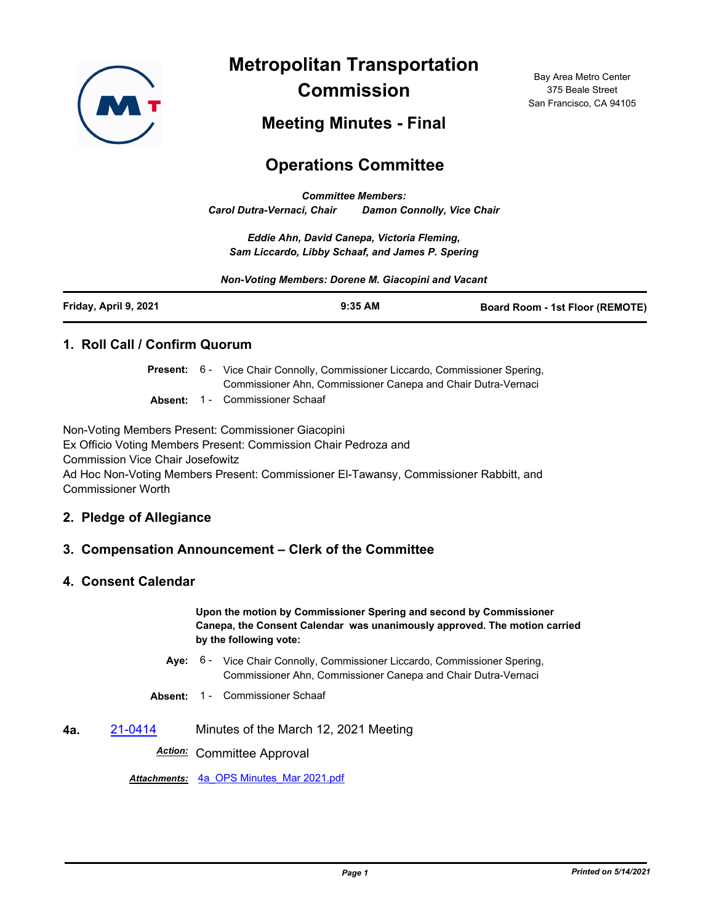

**Metropolitan Transportation Commission**

Bay Area Metro Center 375 Beale Street San Francisco, CA 94105

## **Meeting Minutes - Final**

# **Operations Committee**

*Committee Members: Carol Dutra-Vernaci, Chair Damon Connolly, Vice Chair*

*Eddie Ahn, David Canepa, Victoria Fleming, Sam Liccardo, Libby Schaaf, and James P. Spering*

*Non-Voting Members: Dorene M. Giacopini and Vacant*

| Friday, April 9, 2021<br>$9:35$ AM<br><b>Board Room - 1st Floor (REMOTE)</b> |
|------------------------------------------------------------------------------|
|------------------------------------------------------------------------------|

#### **1. Roll Call / Confirm Quorum**

|  | Present: 6 - Vice Chair Connolly, Commissioner Liccardo, Commissioner Spering, |
|--|--------------------------------------------------------------------------------|
|  | Commissioner Ahn, Commissioner Canepa and Chair Dutra-Vernaci                  |

**Absent:** 1 - Commissioner Schaaf

Non-Voting Members Present: Commissioner Giacopini

Ex Officio Voting Members Present: Commission Chair Pedroza and Commission Vice Chair Josefowitz Ad Hoc Non-Voting Members Present: Commissioner El-Tawansy, Commissioner Rabbitt, and Commissioner Worth

#### **2. Pledge of Allegiance**

#### **3. Compensation Announcement – Clerk of the Committee**

#### **4. Consent Calendar**

**Upon the motion by Commissioner Spering and second by Commissioner Canepa, the Consent Calendar was unanimously approved. The motion carried by the following vote:**

- Aye: 6 Vice Chair Connolly, Commissioner Liccardo, Commissioner Spering, Commissioner Ahn, Commissioner Canepa and Chair Dutra-Vernaci
- **Absent:** 1 Commissioner Schaaf
- **4a.** [21-0414](http://mtc.legistar.com/gateway.aspx?m=l&id=/matter.aspx?key=22007) Minutes of the March 12, 2021 Meeting

*Action:* Committee Approval

*Attachments:* [4a\\_OPS Minutes\\_Mar 2021.pdf](http://mtc.legistar.com/gateway.aspx?M=F&ID=0e65aafc-3eeb-4b7e-8eaa-40a25c11b554.pdf)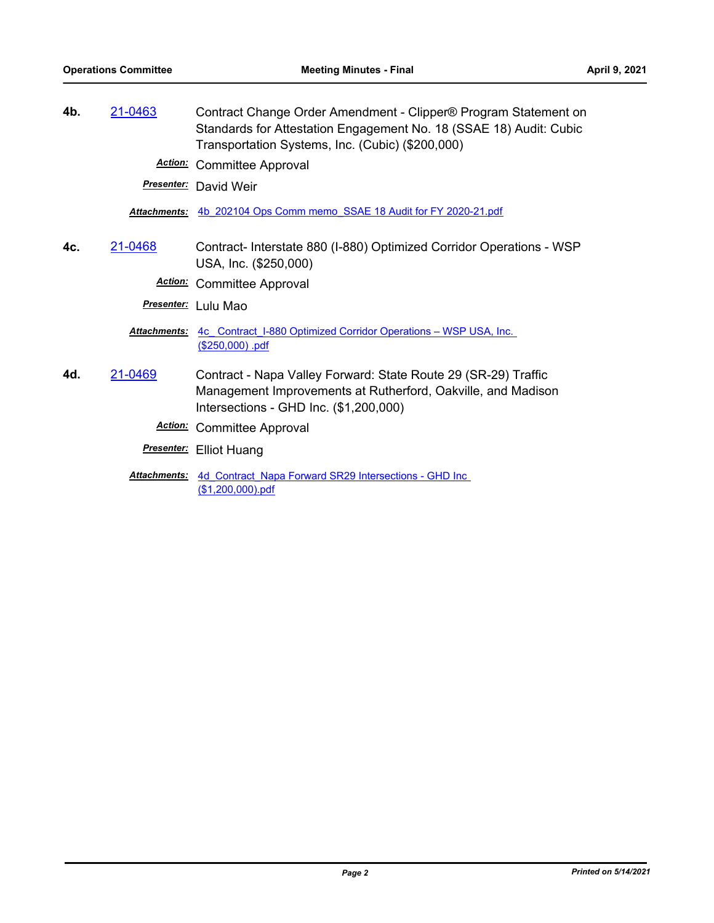**4b.** [21-0463](http://mtc.legistar.com/gateway.aspx?m=l&id=/matter.aspx?key=22056) Contract Change Order Amendment - Clipper® Program Statement on Standards for Attestation Engagement No. 18 (SSAE 18) Audit: Cubic Transportation Systems, Inc. (Cubic) (\$200,000)

*Action:* Committee Approval

*Presenter:* David Weir

*Attachments:* [4b\\_202104 Ops Comm memo\\_SSAE 18 Audit for FY 2020-21.pdf](http://mtc.legistar.com/gateway.aspx?M=F&ID=caa4e4c6-95eb-42e5-b4ca-5b0d35fb45a2.pdf)

**4c.** [21-0468](http://mtc.legistar.com/gateway.aspx?m=l&id=/matter.aspx?key=22061) Contract- Interstate 880 (I-880) Optimized Corridor Operations - WSP USA, Inc. (\$250,000)

*Action:* Committee Approval

*Presenter:* Lulu Mao

Attachments: 4c Contract I-880 Optimized Corridor Operations – WSP USA, Inc. (\$250,000) .pdf

**4d.** [21-0469](http://mtc.legistar.com/gateway.aspx?m=l&id=/matter.aspx?key=22062) Contract - Napa Valley Forward: State Route 29 (SR-29) Traffic Management Improvements at Rutherford, Oakville, and Madison Intersections - GHD Inc. (\$1,200,000)

*Action:* Committee Approval

*Presenter:* Elliot Huang

Attachments: 4d Contract Napa Forward SR29 Intersections - GHD Inc (\$1,200,000).pdf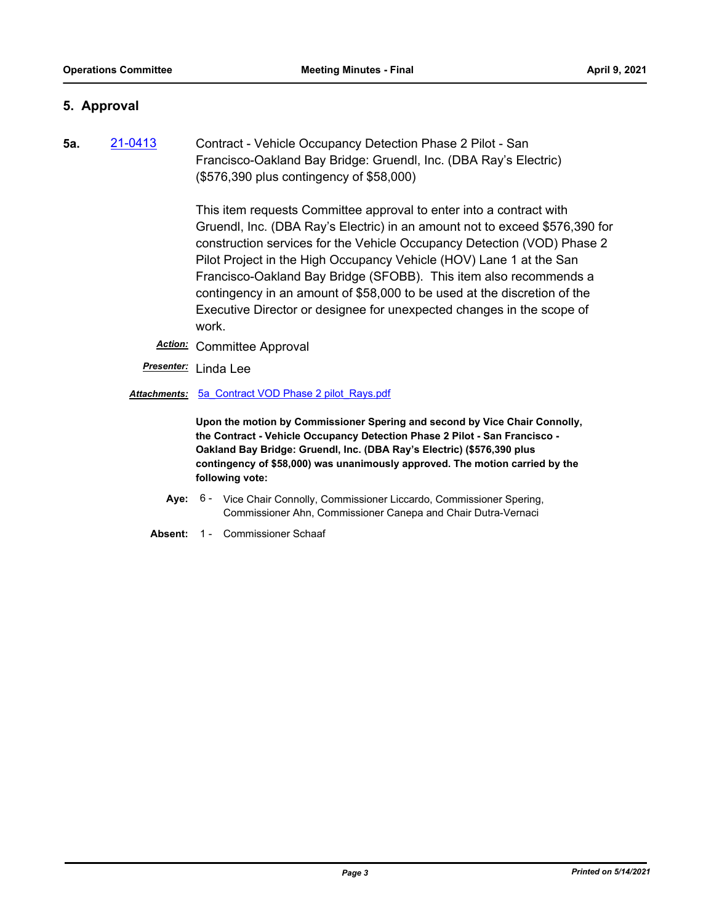#### **5. Approval**

**5a.** [21-0413](http://mtc.legistar.com/gateway.aspx?m=l&id=/matter.aspx?key=22006) Contract - Vehicle Occupancy Detection Phase 2 Pilot - San Francisco-Oakland Bay Bridge: Gruendl, Inc. (DBA Ray's Electric) (\$576,390 plus contingency of \$58,000)

> This item requests Committee approval to enter into a contract with Gruendl, Inc. (DBA Ray's Electric) in an amount not to exceed \$576,390 for construction services for the Vehicle Occupancy Detection (VOD) Phase 2 Pilot Project in the High Occupancy Vehicle (HOV) Lane 1 at the San Francisco-Oakland Bay Bridge (SFOBB). This item also recommends a contingency in an amount of \$58,000 to be used at the discretion of the Executive Director or designee for unexpected changes in the scope of work.

- *Action:* Committee Approval
- *Presenter:* Linda Lee
- *Attachments:* [5a\\_Contract VOD Phase 2 pilot\\_Rays.pdf](http://mtc.legistar.com/gateway.aspx?M=F&ID=f8fd1c5a-ea4e-4c9c-97bf-7553eb11fc69.pdf)

**Upon the motion by Commissioner Spering and second by Vice Chair Connolly, the Contract - Vehicle Occupancy Detection Phase 2 Pilot - San Francisco - Oakland Bay Bridge: Gruendl, Inc. (DBA Ray's Electric) (\$576,390 plus contingency of \$58,000) was unanimously approved. The motion carried by the following vote:**

- Aye: 6 Vice Chair Connolly, Commissioner Liccardo, Commissioner Spering, Commissioner Ahn, Commissioner Canepa and Chair Dutra-Vernaci
- **Absent:** 1 Commissioner Schaaf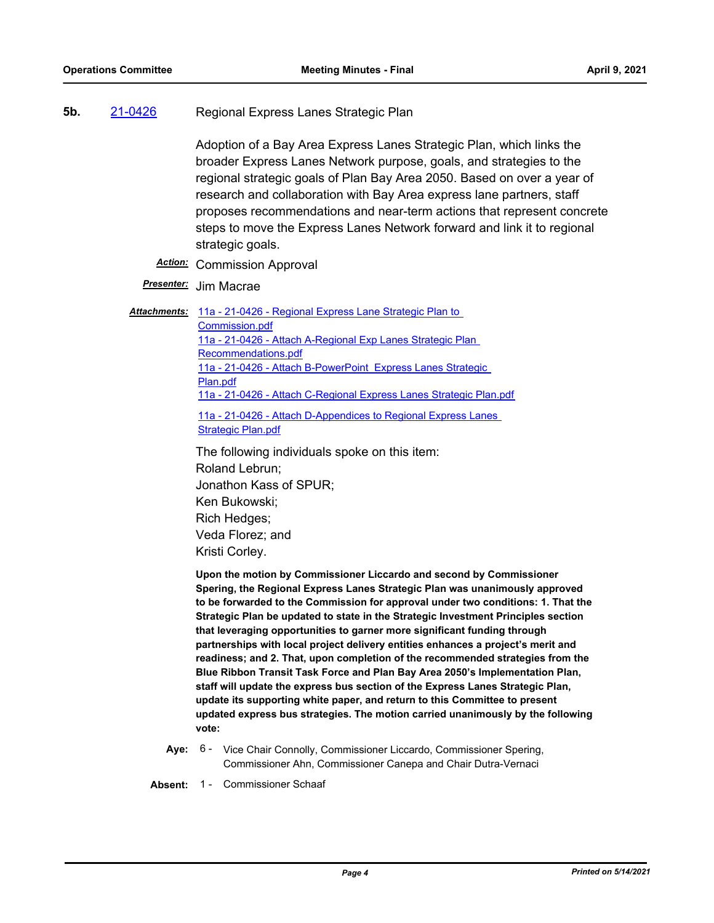**5b.** [21-0426](http://mtc.legistar.com/gateway.aspx?m=l&id=/matter.aspx?key=22019) Regional Express Lanes Strategic Plan

Adoption of a Bay Area Express Lanes Strategic Plan, which links the broader Express Lanes Network purpose, goals, and strategies to the regional strategic goals of Plan Bay Area 2050. Based on over a year of research and collaboration with Bay Area express lane partners, staff proposes recommendations and near-term actions that represent concrete steps to move the Express Lanes Network forward and link it to regional strategic goals.

- *Action:* Commission Approval
- *Presenter:* Jim Macrae

Attachments: 11a - 21-0426 - Regional Express Lane Strategic Plan to Commission.pdf [11a - 21-0426 - Attach A-Regional Exp Lanes Strategic Plan](http://mtc.legistar.com/gateway.aspx?M=F&ID=a1c1d1c0-f3a6-4637-8cbd-1e0016f5e777.pdf)  Recommendations.pdf 11a - 21-0426 - Attach B-PowerPoint\_Express Lanes Strategic Plan.pdf [11a - 21-0426 - Attach C-Regional Express Lanes Strategic Plan.pdf](http://mtc.legistar.com/gateway.aspx?M=F&ID=527c146d-993e-41ed-b348-84dc6ce381eb.pdf) [11a - 21-0426 - Attach D-Appendices to Regional Express Lanes](http://mtc.legistar.com/gateway.aspx?M=F&ID=ab5c39c8-3748-43bf-a4f1-82273c3fd11f.pdf)  Strategic Plan.pdf

> The following individuals spoke on this item: Roland Lebrun; Jonathon Kass of SPUR; Ken Bukowski; Rich Hedges; Veda Florez; and Kristi Corley.

**Upon the motion by Commissioner Liccardo and second by Commissioner Spering, the Regional Express Lanes Strategic Plan was unanimously approved to be forwarded to the Commission for approval under two conditions: 1. That the Strategic Plan be updated to state in the Strategic Investment Principles section that leveraging opportunities to garner more significant funding through partnerships with local project delivery entities enhances a project's merit and readiness; and 2. That, upon completion of the recommended strategies from the Blue Ribbon Transit Task Force and Plan Bay Area 2050's Implementation Plan, staff will update the express bus section of the Express Lanes Strategic Plan, update its supporting white paper, and return to this Committee to present updated express bus strategies. The motion carried unanimously by the following vote:**

Aye: 6 - Vice Chair Connolly, Commissioner Liccardo, Commissioner Spering, Commissioner Ahn, Commissioner Canepa and Chair Dutra-Vernaci

**Absent:** 1 - Commissioner Schaaf